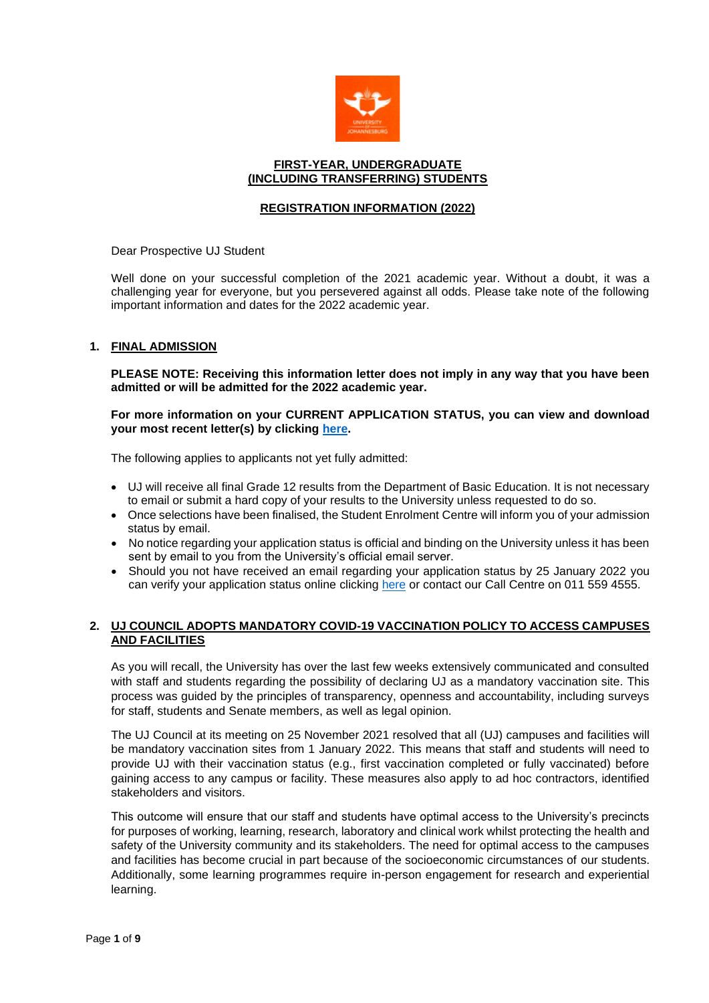

### **FIRST-YEAR, UNDERGRADUATE (INCLUDING TRANSFERRING) STUDENTS**

## **REGISTRATION INFORMATION (2022)**

Dear Prospective UJ Student

Well done on your successful completion of the 2021 academic year. Without a doubt, it was a challenging year for everyone, but you persevered against all odds. Please take note of the following important information and dates for the 2022 academic year.

## **1. FINAL ADMISSION**

**PLEASE NOTE: Receiving this information letter does not imply in any way that you have been admitted or will be admitted for the 2022 academic year.** 

**For more information on your CURRENT APPLICATION STATUS, you can view and download your most recent letter(s) by clicking [here.](https://student.uj.ac.za/status.aspx)**

The following applies to applicants not yet fully admitted:

- UJ will receive all final Grade 12 results from the Department of Basic Education. It is not necessary to email or submit a hard copy of your results to the University unless requested to do so.
- Once selections have been finalised, the Student Enrolment Centre will inform you of your admission status by email.
- No notice regarding your application status is official and binding on the University unless it has been sent by email to you from the University's official email server.
- Should you not have received an email regarding your application status by 25 January 2022 you can verify your application status online clicking [here](https://student.uj.ac.za/status.aspx) or contact our Call Centre on 011 559 4555.

## **2. UJ COUNCIL ADOPTS MANDATORY COVID-19 VACCINATION POLICY TO ACCESS CAMPUSES AND FACILITIES**

As you will recall, the University has over the last few weeks extensively communicated and consulted with staff and students regarding the possibility of declaring UJ as a mandatory vaccination site. This process was guided by the principles of transparency, openness and accountability, including surveys for staff, students and Senate members, as well as legal opinion.

The UJ Council at its meeting on 25 November 2021 resolved that all (UJ) campuses and facilities will be mandatory vaccination sites from 1 January 2022. This means that staff and students will need to provide UJ with their vaccination status (e.g., first vaccination completed or fully vaccinated) before gaining access to any campus or facility. These measures also apply to ad hoc contractors, identified stakeholders and visitors.

This outcome will ensure that our staff and students have optimal access to the University's precincts for purposes of working, learning, research, laboratory and clinical work whilst protecting the health and safety of the University community and its stakeholders. The need for optimal access to the campuses and facilities has become crucial in part because of the socioeconomic circumstances of our students. Additionally, some learning programmes require in-person engagement for research and experiential learning.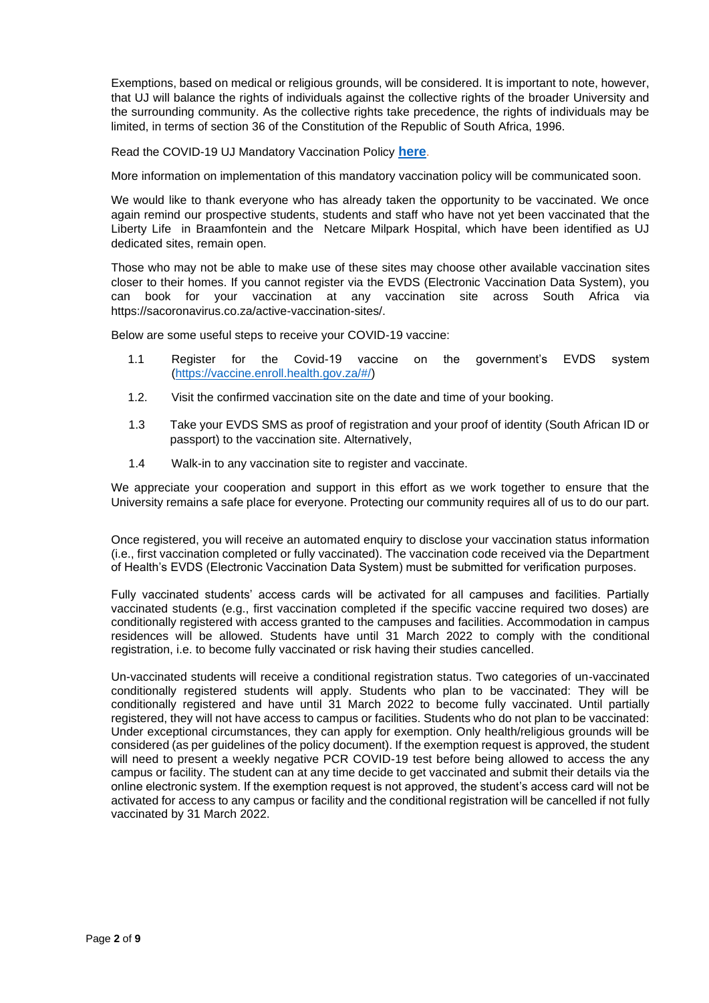Exemptions, based on medical or religious grounds, will be considered. It is important to note, however, that UJ will balance the rights of individuals against the collective rights of the broader University and the surrounding community. As the collective rights take precedence, the rights of individuals may be limited, in terms of section 36 of the Constitution of the Republic of South Africa, 1996.

Read the COVID-19 UJ Mandatory Vaccination Policy **[here](https://www.uj.ac.za/wp-content/uploads/2021/12/covid-19-mandatory-vaccination-policy-19-nov2021.pdf)**.

More information on implementation of this mandatory vaccination policy will be communicated soon.

We would like to thank everyone who has already taken the opportunity to be vaccinated. We once again remind our prospective students, students and staff who have not yet been vaccinated that the Liberty Life in Braamfontein and the Netcare Milpark Hospital, which have been identified as UJ dedicated sites, remain open.

Those who may not be able to make use of these sites may choose other available vaccination sites closer to their homes. If you cannot register via the EVDS (Electronic Vaccination Data System), you can book for your vaccination at any vaccination site across South Africa via https://sacoronavirus.co.za/active-vaccination-sites/.

Below are some useful steps to receive your COVID-19 vaccine:

- 1.1 Register for the Covid-19 vaccine on the government's EVDS system [\(https://vaccine.enroll.health.gov.za/#/\)](https://vaccine.enroll.health.gov.za/#/)
- 1.2. Visit the confirmed vaccination site on the date and time of your booking.
- 1.3 Take your EVDS SMS as proof of registration and your proof of identity (South African ID or passport) to the vaccination site. Alternatively,
- 1.4 Walk-in to any vaccination site to register and vaccinate.

We appreciate your cooperation and support in this effort as we work together to ensure that the University remains a safe place for everyone. Protecting our community requires all of us to do our part.

Once registered, you will receive an automated enquiry to disclose your vaccination status information (i.e., first vaccination completed or fully vaccinated). The vaccination code received via the Department of Health's EVDS (Electronic Vaccination Data System) must be submitted for verification purposes.

Fully vaccinated students' access cards will be activated for all campuses and facilities. Partially vaccinated students (e.g., first vaccination completed if the specific vaccine required two doses) are conditionally registered with access granted to the campuses and facilities. Accommodation in campus residences will be allowed. Students have until 31 March 2022 to comply with the conditional registration, i.e. to become fully vaccinated or risk having their studies cancelled.

Un-vaccinated students will receive a conditional registration status. Two categories of un-vaccinated conditionally registered students will apply. Students who plan to be vaccinated: They will be conditionally registered and have until 31 March 2022 to become fully vaccinated. Until partially registered, they will not have access to campus or facilities. Students who do not plan to be vaccinated: Under exceptional circumstances, they can apply for exemption. Only health/religious grounds will be considered (as per guidelines of the policy document). If the exemption request is approved, the student will need to present a weekly negative PCR COVID-19 test before being allowed to access the any campus or facility. The student can at any time decide to get vaccinated and submit their details via the online electronic system. If the exemption request is not approved, the student's access card will not be activated for access to any campus or facility and the conditional registration will be cancelled if not fully vaccinated by 31 March 2022.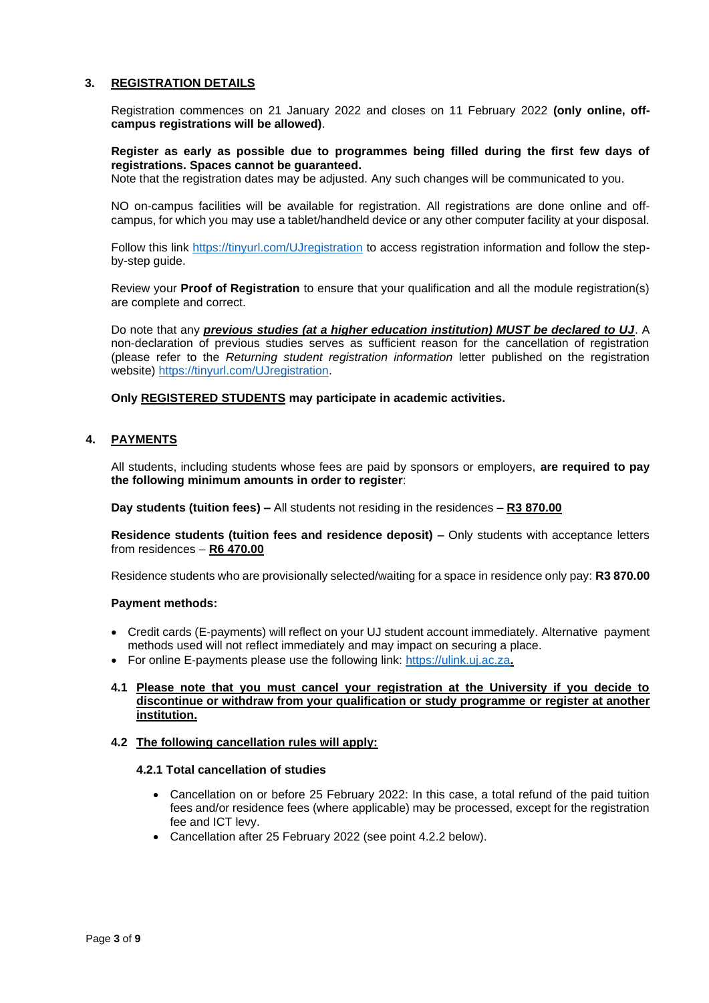## **3. REGISTRATION DETAILS**

Registration commences on 21 January 2022 and closes on 11 February 2022 **(only online, offcampus registrations will be allowed)**.

**Register as early as possible due to programmes being filled during the first few days of registrations. Spaces cannot be guaranteed.**

Note that the registration dates may be adjusted. Any such changes will be communicated to you.

NO on-campus facilities will be available for registration. All registrations are done online and offcampus, for which you may use a tablet/handheld device or any other computer facility at your disposal.

Follow this link<https://tinyurl.com/UJregistration> to access registration information and follow the stepby-step guide.

Review your **Proof of Registration** to ensure that your qualification and all the module registration(s) are complete and correct.

Do note that any *previous studies (at a higher education institution) MUST be declared to UJ*. A non-declaration of previous studies serves as sufficient reason for the cancellation of registration (please refer to the *Returning student registration information* letter published on the registration website) [https://tinyurl.com/UJregistration.](https://tinyurl.com/UJregistration)

**Only REGISTERED STUDENTS may participate in academic activities.**

## **4. PAYMENTS**

All students, including students whose fees are paid by sponsors or employers, **are required to pay the following minimum amounts in order to register**:

**Day students (tuition fees) –** All students not residing in the residences – **R3 870.00**

**Residence students (tuition fees and residence deposit) –** Only students with acceptance letters from residences – **R6 470.00**

Residence students who are provisionally selected/waiting for a space in residence only pay: **R3 870.00**

### **Payment methods:**

- Credit cards (E-payments) will reflect on your UJ student account immediately. Alternative payment methods used will not reflect immediately and may impact on securing a place.
- For online E-payments please use the following link: [https://ulink.uj.ac.za](https://ulink.uj.ac.za/)**.**
- **4.1 Please note that you must cancel your registration at the University if you decide to discontinue or withdraw from your qualification or study programme or register at another institution.**

### **4.2 The following cancellation rules will apply:**

#### **4.2.1 Total cancellation of studies**

- Cancellation on or before 25 February 2022: In this case, a total refund of the paid tuition fees and/or residence fees (where applicable) may be processed, except for the registration fee and ICT levy.
- Cancellation after 25 February 2022 (see point 4.2.2 below).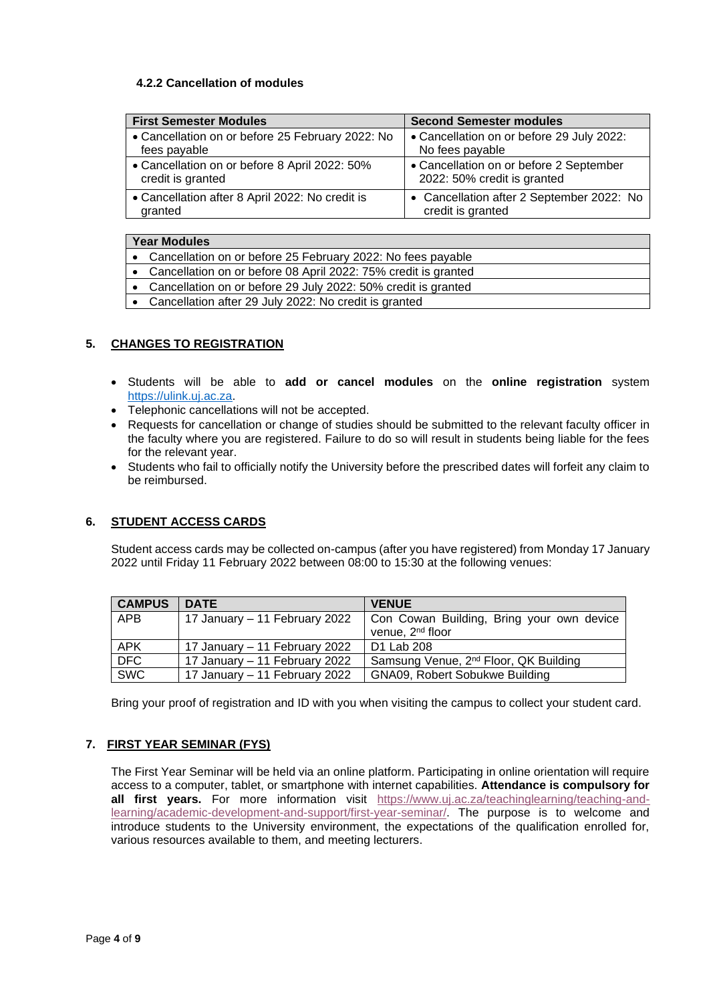# **4.2.2 Cancellation of modules**

| <b>First Semester Modules</b>                    | <b>Second Semester modules</b>            |  |
|--------------------------------------------------|-------------------------------------------|--|
| • Cancellation on or before 25 February 2022: No | • Cancellation on or before 29 July 2022: |  |
| fees payable                                     | No fees payable                           |  |
| • Cancellation on or before 8 April 2022: 50%    | • Cancellation on or before 2 September   |  |
| credit is granted                                | 2022: 50% credit is granted               |  |
| • Cancellation after 8 April 2022: No credit is  | • Cancellation after 2 September 2022: No |  |
| granted                                          | credit is granted                         |  |

| <b>Year Modules</b> |                                                                |  |  |
|---------------------|----------------------------------------------------------------|--|--|
|                     | • Cancellation on or before 25 February 2022: No fees payable  |  |  |
|                     | Cancellation on or before 08 April 2022: 75% credit is granted |  |  |
|                     | Cancellation on or before 29 July 2022: 50% credit is granted  |  |  |
|                     | Cancellation after 29 July 2022: No credit is granted          |  |  |

# **5. CHANGES TO REGISTRATION**

- Students will be able to **add or cancel modules** on the **online registration** system [https://ulink.uj.ac.za.](https://ulink.uj.ac.za/)
- Telephonic cancellations will not be accepted.
- Requests for cancellation or change of studies should be submitted to the relevant faculty officer in the faculty where you are registered. Failure to do so will result in students being liable for the fees for the relevant year.
- Students who fail to officially notify the University before the prescribed dates will forfeit any claim to be reimbursed.

# **6. STUDENT ACCESS CARDS**

Student access cards may be collected on-campus (after you have registered) from Monday 17 January 2022 until Friday 11 February 2022 between 08:00 to 15:30 at the following venues:

| <b>CAMPUS</b> | <b>DATE</b>                   | <b>VENUE</b>                                      |
|---------------|-------------------------------|---------------------------------------------------|
| APB           | 17 January – 11 February 2022 | Con Cowan Building, Bring your own device         |
|               |                               | venue, 2 <sup>nd</sup> floor                      |
| APK           | 17 January – 11 February 2022 | D1 Lab 208                                        |
| DFC.          | 17 January – 11 February 2022 | Samsung Venue, 2 <sup>nd</sup> Floor, QK Building |
| <b>SWC</b>    | 17 January – 11 February 2022 | GNA09, Robert Sobukwe Building                    |

Bring your proof of registration and ID with you when visiting the campus to collect your student card.

# **7. FIRST YEAR SEMINAR (FYS)**

The First Year Seminar will be held via an online platform. Participating in online orientation will require access to a computer, tablet, or smartphone with internet capabilities. **Attendance is compulsory for all first years.** For more information visit [https://www.uj.ac.za/teachinglearning/teaching-and](https://www.uj.ac.za/teachinglearning/teaching-and-learning/academic-development-and-support/first-year-seminar/)[learning/academic-development-and-support/first-year-seminar/.](https://www.uj.ac.za/teachinglearning/teaching-and-learning/academic-development-and-support/first-year-seminar/) The purpose is to welcome and introduce students to the University environment, the expectations of the qualification enrolled for, various resources available to them, and meeting lecturers.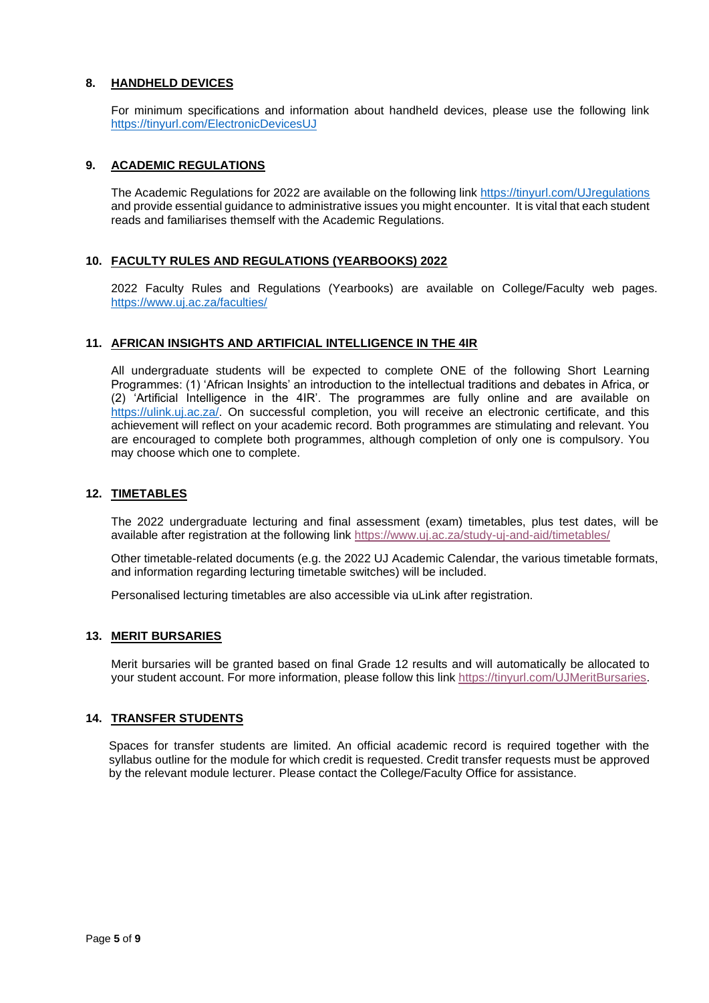# **8. HANDHELD DEVICES**

For minimum specifications and information about handheld devices, please use the following link <https://tinyurl.com/ElectronicDevicesUJ>

## **9. ACADEMIC REGULATIONS**

The Academic Regulations for 2022 are available on the following link<https://tinyurl.com/UJregulations> and provide essential guidance to administrative issues you might encounter. It is vital that each student reads and familiarises themself with the Academic Regulations.

### **10. FACULTY RULES AND REGULATIONS (YEARBOOKS) 2022**

2022 Faculty Rules and Regulations (Yearbooks) are available on College/Faculty web pages. <https://www.uj.ac.za/faculties/>

### **11. AFRICAN INSIGHTS AND ARTIFICIAL INTELLIGENCE IN THE 4IR**

All undergraduate students will be expected to complete ONE of the following Short Learning Programmes: (1) 'African Insights' an introduction to the intellectual traditions and debates in Africa, or (2) 'Artificial Intelligence in the 4IR'. The programmes are fully online and are available on [https://ulink.uj.ac.za/.](https://ulink.uj.ac.za/) On successful completion, you will receive an electronic certificate, and this achievement will reflect on your academic record. Both programmes are stimulating and relevant. You are encouraged to complete both programmes, although completion of only one is compulsory. You may choose which one to complete.

### **12. TIMETABLES**

The 2022 undergraduate lecturing and final assessment (exam) timetables, plus test dates, will be available after registration at the following link <https://www.uj.ac.za/study-uj-and-aid/timetables/>

Other timetable-related documents (e.g. the 2022 UJ Academic Calendar, the various timetable formats, and information regarding lecturing timetable switches) will be included.

Personalised lecturing timetables are also accessible via uLink after registration.

### **13. MERIT BURSARIES**

Merit bursaries will be granted based on final Grade 12 results and will automatically be allocated to your student account. For more information, please follow this link [https://tinyurl.com/UJMeritBursaries.](https://tinyurl.com/UJMeritBursaries)

### **14. TRANSFER STUDENTS**

Spaces for transfer students are limited. An official academic record is required together with the syllabus outline for the module for which credit is requested. Credit transfer requests must be approved by the relevant module lecturer. Please contact the College/Faculty Office for assistance.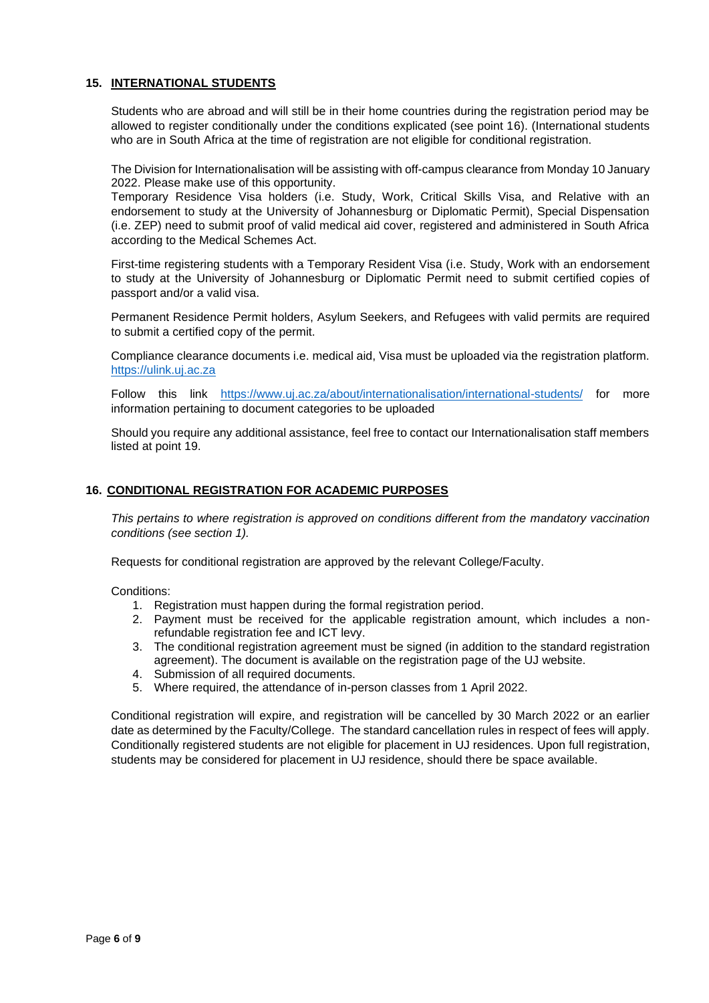# **15. INTERNATIONAL STUDENTS**

Students who are abroad and will still be in their home countries during the registration period may be allowed to register conditionally under the conditions explicated (see point 16). (International students who are in South Africa at the time of registration are not eligible for conditional registration.

The Division for Internationalisation will be assisting with off-campus clearance from Monday 10 January 2022. Please make use of this opportunity.

Temporary Residence Visa holders (i.e. Study, Work, Critical Skills Visa, and Relative with an endorsement to study at the University of Johannesburg or Diplomatic Permit), Special Dispensation (i.e. ZEP) need to submit proof of valid medical aid cover, registered and administered in South Africa according to the Medical Schemes Act.

First-time registering students with a Temporary Resident Visa (i.e. Study, Work with an endorsement to study at the University of Johannesburg or Diplomatic Permit need to submit certified copies of passport and/or a valid visa.

Permanent Residence Permit holders, Asylum Seekers, and Refugees with valid permits are required to submit a certified copy of the permit.

Compliance clearance documents i.e. medical aid, Visa must be uploaded via the registration platform. https://ulink.uj.ac.za

Follow this link <https://www.uj.ac.za/about/internationalisation/international-students/> for more information pertaining to document categories to be uploaded

Should you require any additional assistance, feel free to contact our Internationalisation staff members listed at point 19.

## **16. CONDITIONAL REGISTRATION FOR ACADEMIC PURPOSES**

*This pertains to where registration is approved on conditions different from the mandatory vaccination conditions (see section 1).*

Requests for conditional registration are approved by the relevant College/Faculty.

Conditions:

- 1. Registration must happen during the formal registration period.
- 2. Payment must be received for the applicable registration amount, which includes a nonrefundable registration fee and ICT levy.
- 3. The conditional registration agreement must be signed (in addition to the standard registration agreement). The document is available on the registration page of the UJ website.
- 4. Submission of all required documents.
- 5. Where required, the attendance of in-person classes from 1 April 2022.

Conditional registration will expire, and registration will be cancelled by 30 March 2022 or an earlier date as determined by the Faculty/College. The standard cancellation rules in respect of fees will apply. Conditionally registered students are not eligible for placement in UJ residences. Upon full registration, students may be considered for placement in UJ residence, should there be space available.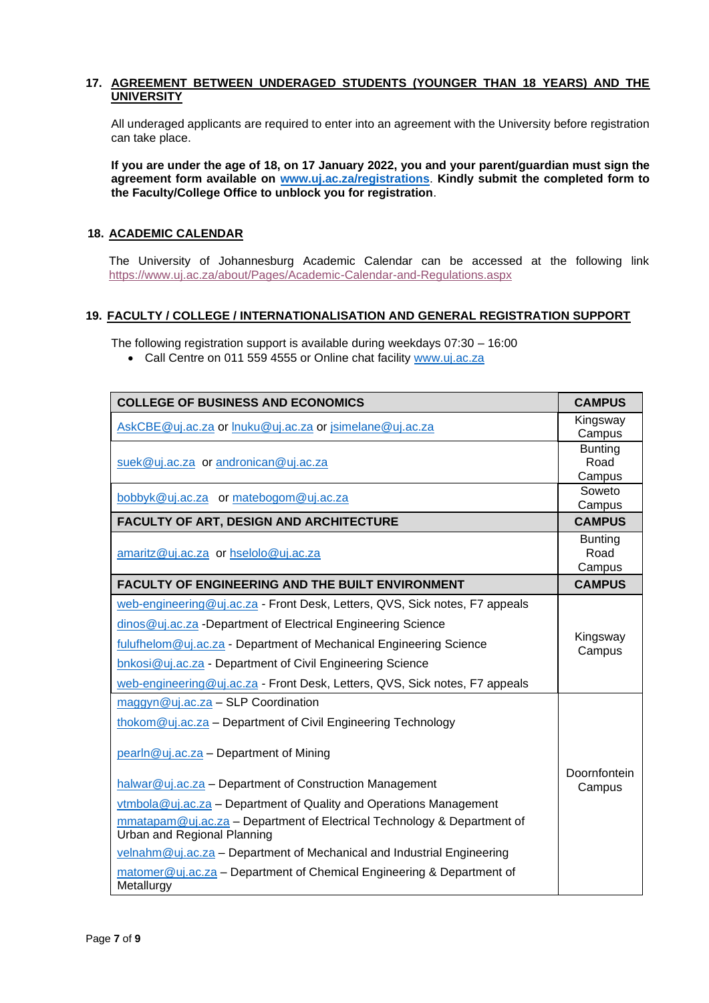## **17. AGREEMENT BETWEEN UNDERAGED STUDENTS (YOUNGER THAN 18 YEARS) AND THE UNIVERSITY**

All underaged applicants are required to enter into an agreement with the University before registration can take place.

**If you are under the age of 18, on 17 January 2022, you and your parent/guardian must sign the agreement form available on [www.uj.ac.za/registrations](http://www.uj.ac.za/registrations)**. **Kindly submit the completed form to the Faculty/College Office to unblock you for registration**.

# **18. ACADEMIC CALENDAR**

The University of Johannesburg Academic Calendar can be accessed at the following link <https://www.uj.ac.za/about/Pages/Academic-Calendar-and-Regulations.aspx>

# **19. FACULTY / COLLEGE / INTERNATIONALISATION AND GENERAL REGISTRATION SUPPORT**

The following registration support is available during weekdays 07:30 – 16:00

• Call Centre on 011 559 4555 or Online chat facility [www.uj.ac.za](http://www.uj.ac.za/)

| <b>COLLEGE OF BUSINESS AND ECONOMICS</b>                                                                                                                                                                                                                                                                                                                                                                 | <b>CAMPUS</b>                    |
|----------------------------------------------------------------------------------------------------------------------------------------------------------------------------------------------------------------------------------------------------------------------------------------------------------------------------------------------------------------------------------------------------------|----------------------------------|
| AskCBE@uj.ac.za or lnuku@uj.ac.za or jsimelane@uj.ac.za                                                                                                                                                                                                                                                                                                                                                  | Kingsway<br>Campus               |
| suek@uj.ac.za or andronican@uj.ac.za                                                                                                                                                                                                                                                                                                                                                                     | <b>Bunting</b><br>Road<br>Campus |
| bobbyk@uj.ac.za or matebogom@uj.ac.za                                                                                                                                                                                                                                                                                                                                                                    | Soweto<br>Campus                 |
| <b>FACULTY OF ART, DESIGN AND ARCHITECTURE</b>                                                                                                                                                                                                                                                                                                                                                           | <b>CAMPUS</b>                    |
| amaritz@uj.ac.za or hselolo@uj.ac.za                                                                                                                                                                                                                                                                                                                                                                     | <b>Bunting</b><br>Road<br>Campus |
| <b>FACULTY OF ENGINEERING AND THE BUILT ENVIRONMENT</b>                                                                                                                                                                                                                                                                                                                                                  | <b>CAMPUS</b>                    |
| web-engineering@uj.ac.za - Front Desk, Letters, QVS, Sick notes, F7 appeals<br>dinos@uj.ac.za -Department of Electrical Engineering Science<br>fulufhelom@uj.ac.za - Department of Mechanical Engineering Science<br>bnkosi@uj.ac.za - Department of Civil Engineering Science<br>web-engineering@uj.ac.za - Front Desk, Letters, QVS, Sick notes, F7 appeals                                            | Kingsway<br>Campus               |
| maggyn@uj.ac.za - SLP Coordination                                                                                                                                                                                                                                                                                                                                                                       |                                  |
| thokom@uj.ac.za - Department of Civil Engineering Technology<br>pearln@uj.ac.za - Department of Mining                                                                                                                                                                                                                                                                                                   |                                  |
| halwar@uj.ac.za - Department of Construction Management<br>vtmbola@uj.ac.za - Department of Quality and Operations Management<br>mmatapam@uj.ac.za - Department of Electrical Technology & Department of<br>Urban and Regional Planning<br>velnahm@uj.ac.za - Department of Mechanical and Industrial Engineering<br>matomer@uj.ac.za - Department of Chemical Engineering & Department of<br>Metallurgy | Doornfontein<br>Campus           |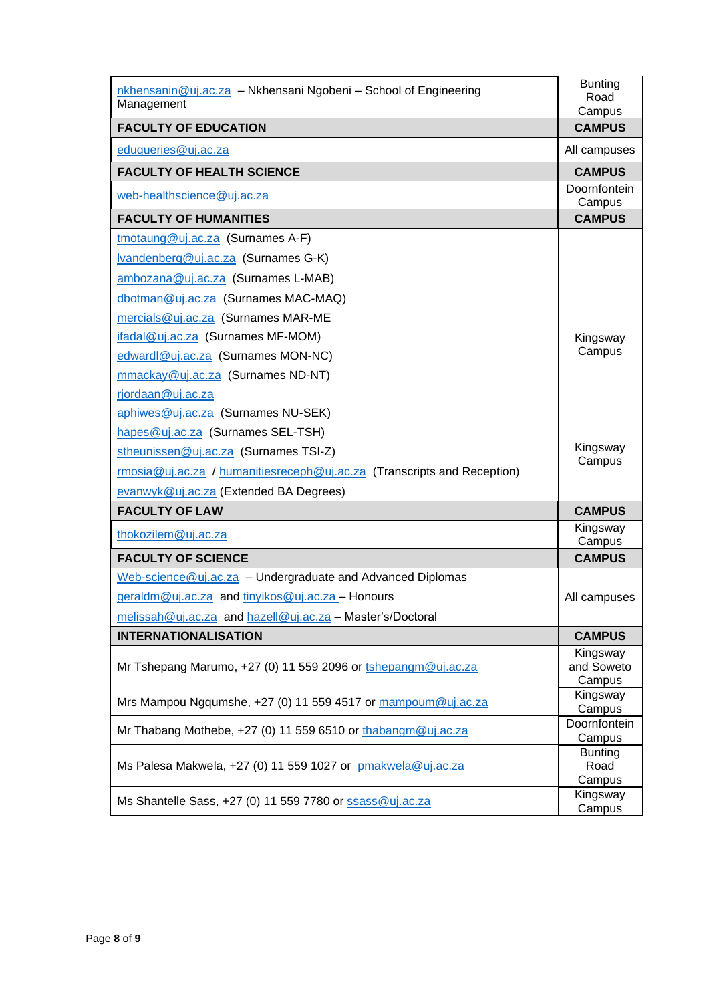| nkhensanin@uj.ac.za - Nkhensani Ngobeni - School of Engineering<br>Management | <b>Bunting</b><br>Road<br>Campus |
|-------------------------------------------------------------------------------|----------------------------------|
| <b>FACULTY OF EDUCATION</b>                                                   | <b>CAMPUS</b>                    |
| eduqueries@uj.ac.za                                                           | All campuses                     |
| <b>FACULTY OF HEALTH SCIENCE</b>                                              | <b>CAMPUS</b>                    |
| web-healthscience@uj.ac.za                                                    | Doornfontein<br>Campus           |
| <b>FACULTY OF HUMANITIES</b>                                                  | <b>CAMPUS</b>                    |
| tmotaung@uj.ac.za (Surnames A-F)                                              |                                  |
| Ivandenberg@uj.ac.za (Surnames G-K)                                           |                                  |
| ambozana@uj.ac.za (Surnames L-MAB)                                            |                                  |
| dbotman@uj.ac.za (Surnames MAC-MAQ)                                           |                                  |
| mercials@uj.ac.za (Surnames MAR-ME                                            |                                  |
| ifadal@uj.ac.za (Surnames MF-MOM)                                             | Kingsway                         |
| edwardl@uj.ac.za (Surnames MON-NC)                                            | Campus                           |
| mmackay@uj.ac.za (Surnames ND-NT)                                             |                                  |
| rjordaan@uj.ac.za                                                             |                                  |
| aphiwes@uj.ac.za (Surnames NU-SEK)                                            |                                  |
| hapes@uj.ac.za (Surnames SEL-TSH)                                             |                                  |
| stheunissen@uj.ac.za (Surnames TSI-Z)                                         | Kingsway                         |
| rmosia@uj.ac.za / humanitiesreceph@uj.ac.za (Transcripts and Reception)       | Campus                           |
| evanwyk@uj.ac.za (Extended BA Degrees)                                        |                                  |
| <b>FACULTY OF LAW</b>                                                         | <b>CAMPUS</b>                    |
| thokozilem@uj.ac.za                                                           | Kingsway<br>Campus               |
| <b>FACULTY OF SCIENCE</b>                                                     | <b>CAMPUS</b>                    |
| Web-science@uj.ac.za - Undergraduate and Advanced Diplomas                    |                                  |
| geraldm@uj.ac.za and tinyikos@uj.ac.za - Honours                              | All campuses                     |
| melissah@uj.ac.za and hazell@uj.ac.za - Master's/Doctoral                     |                                  |
| <b>INTERNATIONALISATION</b>                                                   | <b>CAMPUS</b>                    |
|                                                                               | Kingsway                         |
| Mr Tshepang Marumo, +27 (0) 11 559 2096 or tshepangm@uj.ac.za                 | and Soweto<br>Campus             |
|                                                                               | Kingsway                         |
| Mrs Mampou Ngqumshe, +27 (0) 11 559 4517 or mampoum@uj.ac.za                  | Campus                           |
| Mr Thabang Mothebe, +27 (0) 11 559 6510 or thabangm@uj.ac.za                  | Doornfontein<br>Campus           |
|                                                                               | <b>Bunting</b>                   |
| Ms Palesa Makwela, $+27$ (0) 11 559 1027 or pmakwela@uj.ac.za                 | Road                             |
|                                                                               | Campus<br>Kingsway               |
| Ms Shantelle Sass, +27 (0) 11 559 7780 or ssass@uj.ac.za                      | Campus                           |